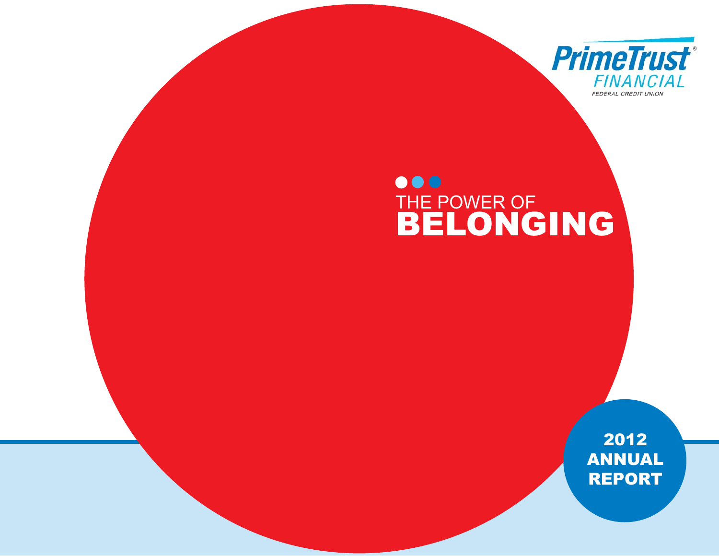

# $\bullet\bullet\bullet$ THE POWER OF

2012 ANNUAL REPORT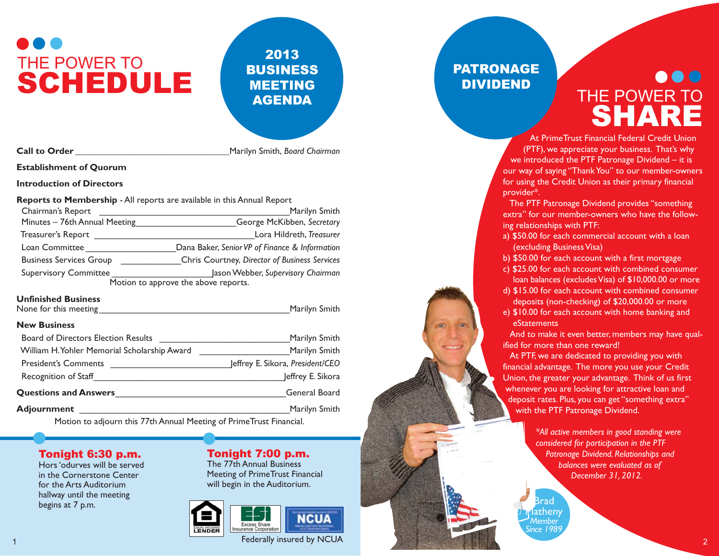## $\bullet$ ● ● ●<br>THE POWER TO SCHEDULE

### 2013 **BUSINESS** MEETING

**Call to Order \_\_\_\_\_\_\_\_\_\_\_\_\_\_\_\_\_\_\_\_\_\_\_\_\_\_\_\_\_\_\_\_\_\_**Marilyn Smith, *Board Chairman* 

**Establishment of Quorum** 

**Introduction of Directors** 

#### **Reports to Membership** - All reports are available in this Annual Report Chairman's Report \_\_\_\_\_\_\_\_\_\_\_\_\_\_\_\_\_\_\_\_\_\_\_\_\_\_\_\_\_\_\_\_\_\_\_\_\_\_Marilyn Smith Minutes – 76th Annual Meeting\_\_\_\_\_\_\_\_\_\_\_\_\_\_\_\_\_\_\_\_George McKibben, *Secretary*  Treasurer's Report \_\_\_\_\_\_\_\_\_\_\_\_\_\_\_\_\_\_\_\_\_\_\_\_\_\_\_\_\_\_\_\_Lora Hildreth, *Treasurer*  Loan Committee \_\_\_\_\_\_\_\_\_\_\_\_\_\_\_\_\_\_Dana Baker, *Senior VP of Finance & Information*  Business Services Group \_\_\_\_\_\_\_\_\_\_\_\_Chris Courtney, *Director of Business Services*  Supervisory Committee \_\_\_\_\_\_\_\_\_\_\_\_\_\_\_\_\_\_\_\_Jason Webber, *Supervisory Chairman*  Motion to approve the above reports.

#### **Unfinished Business**

| None for this meeting | Marilyn Smith |  |
|-----------------------|---------------|--|
|-----------------------|---------------|--|

#### **New Business**

| <b>Board of Directors Election Results</b>   | Marilyn Smith                    |
|----------------------------------------------|----------------------------------|
| William H. Yohler Memorial Scholarship Award | Marilyn Smith                    |
| <b>President's Comments</b>                  | Jeffrey E. Sikora, President/CEO |
| Recognition of Staff                         | Jeffrey E. Sikora                |
| <b>Questions and Answers</b>                 | General Board                    |
| <b>Adjournment</b>                           | Marilyn Smith                    |
|                                              |                                  |

Motion to adjourn this 77th Annual Meeting of PrimeTrust Financial.

### **Tonight 6:30 p.m. Tonight 7:00 p.m.**<br>Hors coluryes will be served The 77th Annual Business

Hors 'odurves will be served for the Arts Auditorium will begin in the Auditorium. hallway until the meeting begins at 7 p.m.

in the Cornerstone Center Meeting of PrimeTrust Financial



### PATRONAGE DIVIDEND

## ... AGENDA AGENDA AGENDA AGENDA AGENDA SHARE

At PrimeTrust Financial Federal Credit Union (PTF), we appreciate your business. That's why we introduced the PTF Patronage Dividend – it is our way of saying "Thank You" to our member-owners for using the Credit Union as their primary financial provider\*.

The PTF Patronage Dividend provides "something extra" for our member-owners who have the following relationships with PTF:

- a) \$50.00 for each commercial account with a loan (excluding Business Visa)
- b) \$50.00 for each account with a first mortgage
- c) \$25.00 for each account with combined consumer loan balances (excludes Visa) of \$10,000.00 or more
- d) \$15.00 for each account with combined consumer deposits (non-checking) of \$20,000.00 or more
- e) \$10.00 for each account with home banking and **eStatements**

And to make it even better, members may have qualified for more than one reward!

At PTF, we are dedicated to providing you with financial advantage. The more you use your Credit Union, the greater your advantage. Think of us first whenever you are looking for attractive loan and deposit rates. Plus, you can get "something extra" with the PTF Patronage Dividend.

> *\*All active members in good standing were considered for participation in the PTF Patronage Dividend. Relationships and balances were evaluated as of December 31, 2012.*

rad atheny *Member Since 1989*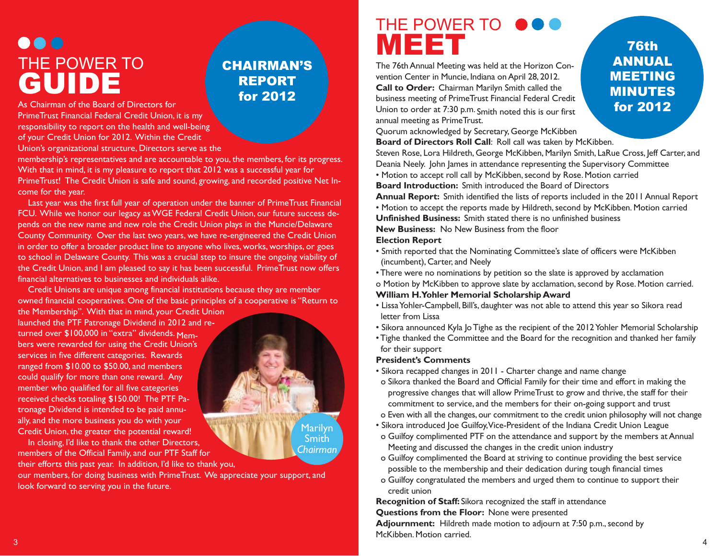## $\bullet\bullet\bullet$ THE POWER TO GUIDE

### CHAIRMAN'S REPORT for 2012

As Chairman of the Board of Directors for PrimeTrust Financial Federal Credit Union, it is my responsibility to report on the health and well-being of your Credit Union for 2012. Within the Credit Union's organizational structure, Directors serve as the

membership's representatives and are accountable to you, the members, for its progress. With that in mind, it is my pleasure to report that 2012 was a successful year for PrimeTrust! The Credit Union is safe and sound, growing, and recorded positive Net Income for the year.

Last year was the first full year of operation under the banner of PrimeTrust Financial FCU. While we honor our legacy as WGE Federal Credit Union, our future success depends on the new name and new role the Credit Union plays in the Muncie/Delaware County Community. Over the last two years, we have re-engineered the Credit Union in order to offer a broader product line to anyone who lives, works, worships, or goes to school in Delaware County. This was a crucial step to insure the ongoing viability of the Credit Union, and I am pleased to say it has been successful. PrimeTrust now offers financial alternatives to businesses and individuals alike.

- Credit Unions are unique among financial institutions because they are member owned financial cooperatives. One of the basic principles of a cooperative is "Return to

the Membership". With that in mind, your Credit Union launched the PTF Patronage Dividend in 2012 and returned over \$100,000 in "extra" dividends. Members were rewarded for using the Credit Union's services in five different categories. Rewards

ranged from \$10.00 to \$50.00, and members could qualify for more than one reward. Any member who qualified for all five categories received checks totaling \$150.00! The PTF Patronage Dividend is intended to be paid annually, and the more business you do with your Credit Union, the greater the potential reward!



In closing, I'd like to thank the other Directors, members of the Official Family, and our PTF Staff for

their efforts this past year. In addition, I'd like to thank you,

our members, for doing business with PrimeTrust. We appreciate your support, and look forward to serving you in the future.

## ••• THE POWER TO MEET

The 76th Annual Meeting was held at the Horizon Convention Center in Muncie, Indiana on April 28, 2012. **Call to Order:** Chairman Marilyn Smith called the business meeting of PrimeTrust Financial Federal Credit Union to order at 7:30 p.m. Smith noted this is our first annual meeting as PrimeTrust.

Quorum acknowledged by Secretary, George McKibben

76thANNUAL MEETINGMINUTESfor 2012

**Board of Directors Roll Call**: Roll call was taken by McKibben. Steven Rose, Lora Hildreth, George McKibben, Marilyn Smith, LaRue Cross, Jeff Carter, and Deania Neely. John James in attendance representing the Supervisory Committee • Motion to accept roll call by McKibben, second by Rose. Motion carried

**Board Introduction:** Smith introduced the Board of Directors

**Annual Report:** Smith identified the lists of reports included in the 2011 Annual Report • Motion to accept the reports made by Hildreth, second by McKibben. Motion carried

**Unfinished Business:** Smith stated there is no unfinished business

**New Business:** No New Business from the floor

#### **Election Report**

- Smith reported that the Nominating Committee's slate of officers were McKibben (incumbent), Carter, and Neely
- There were no nominations by petition so the slate is approved by acclamation
- o Motion by McKibben to approve slate by acclamation, second by Rose. Motion carried.

#### **William H.Yohler Memorial Scholarship Award**

- Lissa Yohler-Campbell, Bill's, daughter was not able to attend this year so Sikora read letter from Lissa
- Sikora announced Kyla |o Tighe as the recipient of the 2012 Yohler Memorial Scholarship
- Tighe thanked the Committee and the Board for the recognition and thanked her family for their support

#### **President's Comments**

- Sikora recapped changes in 2011 Charter change and name change
- o Sikora thanked the Board and Official Family for their time and effort in making the progressive changes that will allow PrimeTrust to grow and thrive, the staff for their commitment to service, and the members for their on-going support and trust
- o Even with all the changes, our commitment to the credit union philosophy will not change
- Sikora introduced Joe Guilfoy,Vice-President of the Indiana Credit Union League
- o Guilfoy complimented PTF on the attendance and support by the members at Annual Meeting and discussed the changes in the credit union industry
- o Guilfoy complimented the Board at striving to continue providing the best service possible to the membership and their dedication during tough financial times
- o Guilfoy congratulated the members and urged them to continue to support their credit union

**Recognition of Staff:** Sikora recognized the staff in attendance

**Questions from the Floor:** None were presented

**Adjournment:** Hildreth made motion to adjourn at 7:50 p.m., second by McKibben. Motion carried.  $3$  and the contract of the contract of the contract of the contract of the contract of the contract of  $4$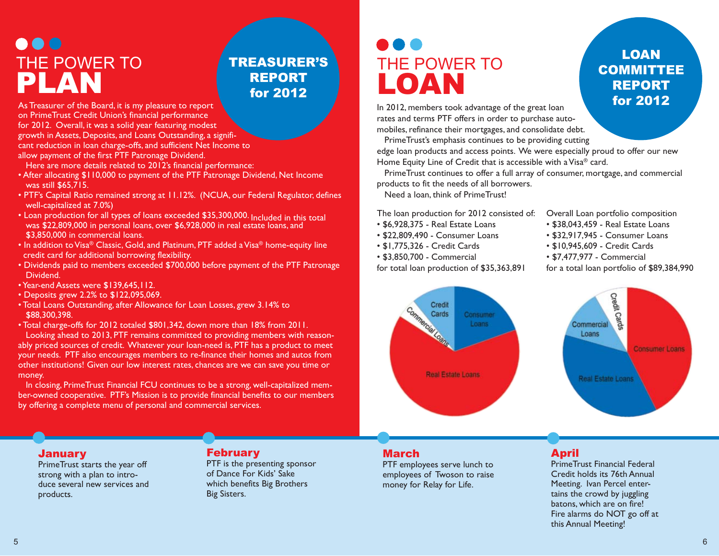# ● ● ●<br>THE POWER TO PLAN

### TREASURER'S REPORT for 2012

As Treasurer of the Board, it is my pleasure to report on PrimeTrust Credit Union's financial performance for 2012. Overall, it was a solid year featuring modest growth in Assets, Deposits, and Loans Outstanding, a significant reduction in loan charge-offs, and sufficient Net Income to allow payment of the first PTF Patronage Dividend.

Here are more details related to 2012's financial performance:

- After allocating \$110,000 to payment of the PTF Patronage Dividend, Net Income was still \$65,715.
- PTF's Capital Ratio remained strong at 11.12%. (NCUA, our Federal Regulator, defines well-capitalized at 7.0%)
- Loan production for all types of loans exceeded \$35,300,000. Included in this total was \$22,809,000 in personal loans, over \$6,928,000 in real estate loans, and \$3,850,000 in commercial loans.
- In addition to Visa® Classic, Gold, and Platinum, PTF added a Visa® home-equity line credit card for additional borrowing flexibility.
- Dividends paid to members exceeded \$700,000 before payment of the PTF Patronage Dividend.
- Year-end Assets were \$139,645,112.
- Deposits grew 2.2% to \$122,095,069.
- Total Loans Outstanding, after Allowance for Loan Losses, grew 3.14% to \$88,300,398.
- Total charge-offs for 2012 totaled \$801,342, down more than 18% from 2011.

Looking ahead to 2013, PTF remains committed to providing members with reasonably priced sources of credit. Whatever your loan-need is, PTF has a product to meet your needs. PTF also encourages members to re-finance their homes and autos from other institutions! Given our low interest rates, chances are we can save you time or money.

In closing, PrimeTrust Financial FCU continues to be a strong, well-capitalized member-owned cooperative. PTF's Mission is to provide financial benefits to our members by offering a complete menu of personal and commercial services.

# THE POWER TO LOAN

In 2012, members took advantage of the great loan rates and terms PTF offers in order to purchase automobiles, refinance their mortgages, and consolidate debt.

PrimeTrust's emphasis continues to be providing cutting edge loan products and access points. We were especially proud to offer our new Home Equity Line of Credit that is accessible with a Visa® card.

PrimeTrust continues to offer a full array of consumer, mortgage, and commercial products to fit the needs of all borrowers.

Need a loan, think of PrimeTrust!

The loan production for 2012 consisted of: Overall Loan portfolio composition

- 
- \$22,809,490 Consumer Loans \$32,917,945 Consumer Loans
- 
- \$3,850,700 Commercial \$7,477,977 Commercial

**LOAN COMMITTEE REPORT** for 2012

- \$6,928,375 Real Estate Loans \$38,043,459 Real Estate Loans
	-
- \$1,775,326 Credit Cards \$10,945,609 Credit Cards
	-

for total loan production of \$35,363,891 for a total loan portfolio of \$89,384,990





PrimeTrust starts the year off **PTF** is the presenting sponsor in the sponsor of Dance For Kids' Sake strong with a plan to intro-<br>duce several new services and by a position which benefits Big Brothers duce several new services and products. **Big Sisters.** 

**January**<br>PrimeTrust starts the year off **February**<br>PTF is the presenting sponsor

**March**<br>PTF employees serve lunch to **April** PrimeTrust Financial Federal PTF employees serve lunch to PrimeTrust Financial Federal<br>
employees of Twoson to raise Credit holds its 76th Annual employees of Twoson to raise Credit holds its 76th Annual money for Relay for Life.

tains the crowd by juggling batons, which are on fire! Fire alarms do NOT go off at this Annual Meeting!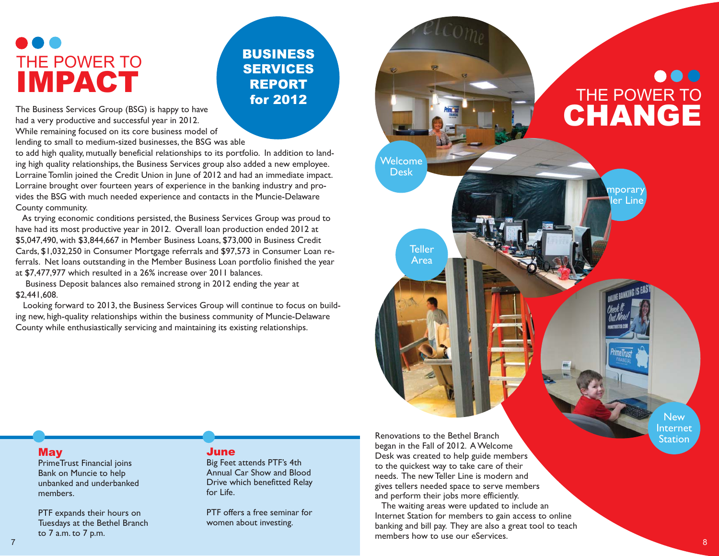# ● ● ●<br>THE POWER TO IMPACT

### **BUSINESS SERVICES** REPORT for 2012

The Business Services Group (BSG) is happy to have had a very productive and successful year in 2012. While remaining focused on its core business model of lending to small to medium-sized businesses, the BSG was able

to add high quality, mutually beneficial relationships to its portfolio. In addition to landing high quality relationships, the Business Services group also added a new employee. Lorraine Tomlin joined the Credit Union in June of 2012 and had an immediate impact. Lorraine brought over fourteen years of experience in the banking industry and provides the BSG with much needed experience and contacts in the Muncie-Delaware County community.

As trying economic conditions persisted, the Business Services Group was proud to have had its most productive year in 2012. Overall loan production ended 2012 at \$5,047,490, with \$3,844,667 in Member Business Loans, \$73,000 in Business Credit Cards, \$1,032,250 in Consumer Mortgage referrals and \$97,573 in Consumer Loan referrals. Net loans outstanding in the Member Business Loan portfolio finished the year at \$7,477,977 which resulted in a 26% increase over 2011 balances.

Business Deposit balances also remained strong in 2012 ending the year at \$2,441,608.

Looking forward to 2013, the Business Services Group will continue to focus on building new, high-quality relationships within the business community of Muncie-Delaware County while enthusiastically servicing and maintaining its existing relationships.

PrimeTrust Financial joins Big Feet attends PTF's 4th<br>Bank on Muncie to belp Annual Car Show and Blood Bank on Muncie to help<br>unbanked and underbanked members. The contract of the contract of the contract of the contract of the contract of the contract of the contract of the contract of the contract of the contract of the contract of the contract of the contract of the c

PTF expands their hours on PTF offers a free seminar for PTF offers a free seminar for PTF offers a free seminar for<br>Tuesdays at the Bethel Branch Tuesdays at the Bethel Branch to 7 a.m. to 7 p.m.

#### May June

Drive which benefitted Relay

Renovations to the Bethel Branch began in the Fall of 2012. A Welcome Desk was created to help guide members to the quickest way to take care of their needs. The new Teller Line is modern and gives tellers needed space to serve members and perform their jobs more efficiently.

Welcome Desk

> **Teller** Area

The waiting areas were updated to include an Internet Station for members to gain access to online banking and bill pay. They are also a great tool to teach members how to use our eServices.

**New** Internet Station

THE POWER TO

 $\bullet\bullet\bullet$ 

CHANGE

nporary er Line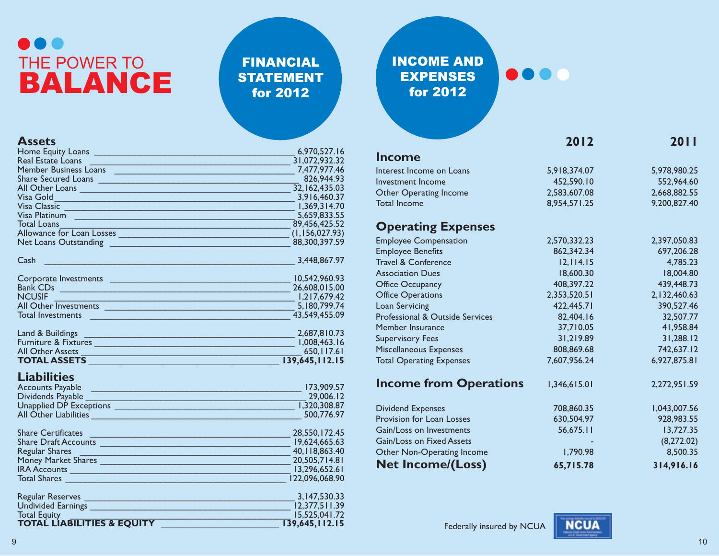## • $\bullet\bullet\bullet$ **BALANCE**

#### FINANCIAL STATEMENT for 2012

### INCOME AND EXPENSES for 2012

| <b>Assets</b>                                                                                                                                                                                                                  |                  |
|--------------------------------------------------------------------------------------------------------------------------------------------------------------------------------------------------------------------------------|------------------|
| Home Equity Loans                                                                                                                                                                                                              | 6,970,527.16     |
| <b>Real Estate Loans</b>                                                                                                                                                                                                       | 31,072,932.32    |
| Member Business Loans                                                                                                                                                                                                          | 7,477,977.46     |
| <b>Share Secured Loans</b>                                                                                                                                                                                                     | 826,944.93       |
| All Other Loans                                                                                                                                                                                                                | 32,162,435.03    |
| Visa Gold                                                                                                                                                                                                                      | 3.916.460.37     |
| Visa Classic and Classic Contract of the Classic Classic                                                                                                                                                                       | 1,369,314.70     |
| Visa Platinum                                                                                                                                                                                                                  | 5,659,833.55     |
| <b>Total Loans</b><br><u> 1990 - Johann Barnett, fransk politiker (</u>                                                                                                                                                        | 89,456,425.52    |
| Allowance for Loan Losses                                                                                                                                                                                                      | (1, 156, 027.93) |
| Net Loans Outstanding<br><u> 1989 - Johann Barn, mars eta bainar eta bainar eta bainar eta bainar eta bainar eta bainar eta bainar eta ba</u>                                                                                  | 88,300,397.59    |
| Cash                                                                                                                                                                                                                           | 3,448,867.97     |
| Corporate Investments                                                                                                                                                                                                          | 10,542,960.93    |
| Bank CDs and the contract of the contract of the contract of the contract of the contract of the contract of the contract of the contract of the contract of the contract of the contract of the contract of the contract of t | 26,608,015.00    |
| <b>NCUSIF</b><br><u> 1990 - Johann Barnett, mars et al. (</u>                                                                                                                                                                  | 1,217,679.42     |
| All Other Investments                                                                                                                                                                                                          | 5,180,799.74     |
| Total Investments                                                                                                                                                                                                              | 43,549,455.09    |
| Land & Buildings                                                                                                                                                                                                               | 2,687,810.73     |
| Furniture & Fixtures                                                                                                                                                                                                           | 1,008,463.16     |
| <b>All Other Assets</b>                                                                                                                                                                                                        | 650, 117.61      |
| <b>TOTAL ASSETS</b>                                                                                                                                                                                                            | 139,645,112.15   |

#### **Liabilities**

| <b>Accounts Payable</b>      | 173,909.57   |
|------------------------------|--------------|
| Dividends Payable            | 29,006.12    |
| Unapplied DP Exceptions      | 1.320.308.87 |
| <b>All Other Liabilities</b> | 500,776.97   |

| <b>Share Certificates</b>             | 28,550,172.45               |
|---------------------------------------|-----------------------------|
| <b>Share Draft Accounts</b>           | 19,624,665.63               |
| <b>Regular Shares</b>                 | 40,118,863.40               |
| <b>Money Market Shares</b>            | 20,505,714.81               |
| <b>IRA Accounts</b>                   | 13,296,652.61               |
| <b>Total Shares</b>                   | 122,096,068.90              |
| <b>Regular Reserves</b>               | 3,147,530.33                |
| <b>Undivided Earnings</b>             | 12,377,511.39               |
| <b>Total Equity</b>                   | 15,525,041.72               |
| <b>TOTAL LIABILITIES &amp; EQUITY</b> | $\overline{139,645,112.15}$ |

|                                 | 2012         | 20 I I       |
|---------------------------------|--------------|--------------|
| <b>Income</b>                   |              |              |
| Interest Income on Loans        | 5,918,374.07 | 5,978,980.25 |
| Investment Income               | 452,590.10   | 552,964.60   |
| Other Operating Income          | 2,583,607.08 | 2,668,882.55 |
| <b>Total Income</b>             | 8,954,571.25 | 9,200,827.40 |
| <b>Operating Expenses</b>       |              |              |
| <b>Employee Compensation</b>    | 2,570,332.23 | 2,397,050.83 |
| <b>Employee Benefits</b>        | 862,342.34   | 697,206.28   |
| Travel & Conference             | 12,114.15    | 4,785.23     |
| <b>Association Dues</b>         | 18,600.30    | 18,004.80    |
| <b>Office Occupancy</b>         | 408,397.22   | 439,448.73   |
| <b>Office Operations</b>        | 2,353,520.51 | 2,132,460.63 |
| <b>Loan Servicing</b>           | 422,445.71   | 390,527.46   |
| Professional & Outside Services | 82,404.16    | 32,507.77    |
| Member Insurance                | 37,710.05    | 41,958.84    |
| <b>Supervisory Fees</b>         | 31,219.89    | 31,288.12    |
| Miscellaneous Expenses          | 808,869.68   | 742,637.12   |
| <b>Total Operating Expenses</b> | 7,607,956.24 | 6,927,875.81 |
| <b>Income from Operations</b>   | 1,346,615.01 | 2,272,951.59 |
| <b>Dividend Expenses</b>        | 708,860.35   | 1,043,007.56 |
| Provision for Loan Losses       | 630,504.97   | 928,983.55   |
| Gain/Loss on Investments        | 56,675.11    | 13,727.35    |
| Gain/Loss on Fixed Assets       |              | (8, 272.02)  |
| Other Non-Operating Income      | 1,790.98     | 8,500.35     |
| <b>Net Income/(Loss)</b>        | 65,715.78    | 314,916.16   |

**...** 



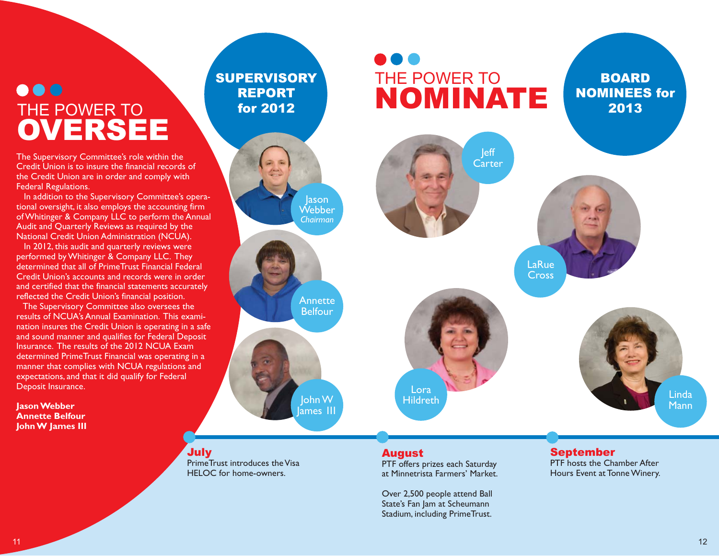### $\bullet\bullet\bullet$ THE POWER TO **OVERSEE**

The Supervisory Committee's role within the Credit Union is to insure the financial records of the Credit Union are in order and comply with Federal Regulations.

In addition to the Supervisory Committee's operational oversight, it also employs the accounting firm of Whitinger & Company LLC to perform the Annual Audit and Quarterly Reviews as required by the National Credit Union Administration (NCUA).

In 2012, this audit and quarterly reviews were performed by Whitinger & Company LLC. They determined that all of PrimeTrust Financial Federal Credit Union's accounts and records were in order and certified that the financial statements accurately reflected the Credit Union's financial position.

The Supervisory Committee also oversees the results of NCUA's Annual Examination. This examination insures the Credit Union is operating in a safe and sound manner and qualifies for Federal Deposit Insurance. The results of the 2012 NCUA Exam determined PrimeTrust Financial was operating in a manner that complies with NCUA regulations and expectations, and that it did qualify for Federal Deposit Insurance.

**Jason Webber Annette Belfour John W James III** 

### **SUPERVISORY** REPORT for 2012

**lason** Webber *Chairman* 

> Annette Belfour

John W ames III

July PrimeTrust introduces the Visa HELOC for home-owners.

# ● ● ●<br>THE POWER TO NOMINATE

**BOARD** NOMINEES for 2013



LaRue Cross



#### **August**

PTF offers prizes each Saturday at Minnetrista Farmers' Market.

Over 2,500 people attend Ball State's Fan Jam at Scheumann Stadium, including PrimeTrust.

September PTF hosts the Chamber After Hours Event at Tonne Winery.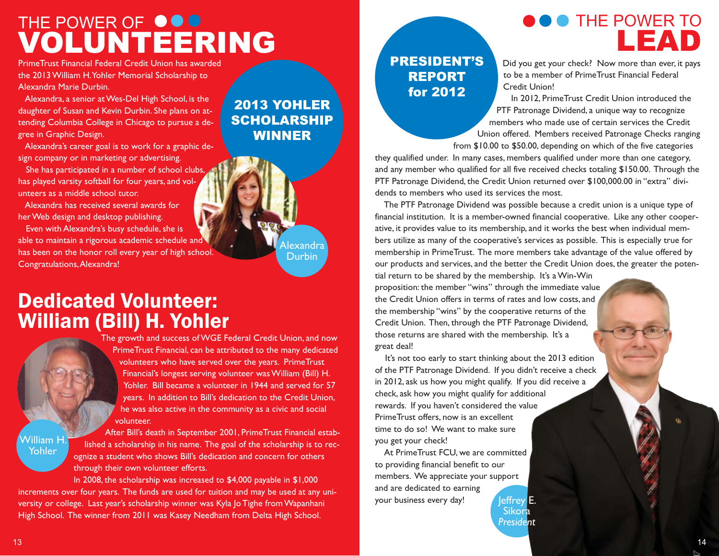# THE POWER OF OOO

PrimeTrust Financial Federal Credit Union has awarded the 2013 William H.Yohler Memorial Scholarship to Alexandra Marie Durbin.

Alexandra, a senior at Wes-Del High School, is the daughter of Susan and Kevin Durbin. She plans on attending Columbia College in Chicago to pursue a degree in Graphic Design.

Alexandra's career goal is to work for a graphic design company or in marketing or advertising.

She has participated in a number of school clubs, has played varsity softball for four years, and volunteers as a middle school tutor.

Alexandra has received several awards for her Web design and desktop publishing.

Even with Alexandra's busy schedule, she is able to maintain a rigorous academic schedule and has been on the honor roll every year of high school. Congratulations, Alexandra!

## Dedicated Volunteer: William (Bill) H. Yohler

The growth and success of WGE Federal Credit Union, and now PrimeTrust Financial, can be attributed to the many dedicated volunteers who have served over the years. PrimeTrust Financial's longest serving volunteer was William (Bill) H. Yohler. Bill became a volunteer in 1944 and served for 57 years. In addition to Bill's dedication to the Credit Union, he was also active in the community as a civic and social volunteer.

After Bill's death in September 2001, PrimeTrust Financial established a scholarship in his name. The goal of the scholarship is to recognize a student who shows Bill's dedication and concern for others through their own volunteer efforts.

In 2008, the scholarship was increased to \$4,000 payable in \$1,000 increments over four years. The funds are used for tuition and may be used at any university or college. Last year's scholarship winner was Kyla Jo Tighe from Wapanhani High School. The winner from 2011 was Kasey Needham from Delta High School.

### 2013 YOHLER **SCHOLARSHIP** WINNER

.lexandra **Durbin** 

## ● ● ● THE POWER TO LEAD

#### PRESIDENT'S REPORT for 2012

Did you get your check? Now more than ever, it pays to be a member of PrimeTrust Financial Federal Credit Union!

In 2012, PrimeTrust Credit Union introduced the PTF Patronage Dividend, a unique way to recognize members who made use of certain services the Credit Union offered. Members received Patronage Checks ranging from \$10.00 to \$50.00, depending on which of the five categories

they qualified under. In many cases, members qualified under more than one category, and any member who qualified for all five received checks totaling \$150.00. Through the PTF Patronage Dividend, the Credit Union returned over [\\$100,000.00](https://100,000.00) in "extra" dividends to members who used its services the most.

The PTF Patronage Dividend was possible because a credit union is a unique type of financial institution. It is a member-owned financial cooperative. Like any other cooperative, it provides value to its membership, and it works the best when individual members utilize as many of the cooperative's services as possible. This is especially true for membership in PrimeTrust. The more members take advantage of the value offered by our products and services, and the better the Credit Union does, the greater the potential return to be shared by the membership. It's a Win-Win

proposition: the member "wins" through the immediate value the Credit Union offers in terms of rates and low costs, and the membership "wins" by the cooperative returns of the Credit Union. Then, through the PTF Patronage Dividend, those returns are shared with the membership. It's a great deal!

It's not too early to start thinking about the 2013 edition of the PTF Patronage Dividend. If you didn't receive a check in 2012, ask us how you might qualify. If you did receive a check, ask how you might qualify for additional rewards. If you haven't considered the value PrimeTrust offers, now is an excellent time to do so! We want to make sure you get your check!

At PrimeTrust FCU, we are committed to providing financial benefit to our members. We appreciate your support and are dedicated to earning your business every day! Jeffrey E.

**Sikora** *President* 

 $\boldsymbol{\mathsf{William}}$   $\boldsymbol{\mathsf{H}}$ . Yohler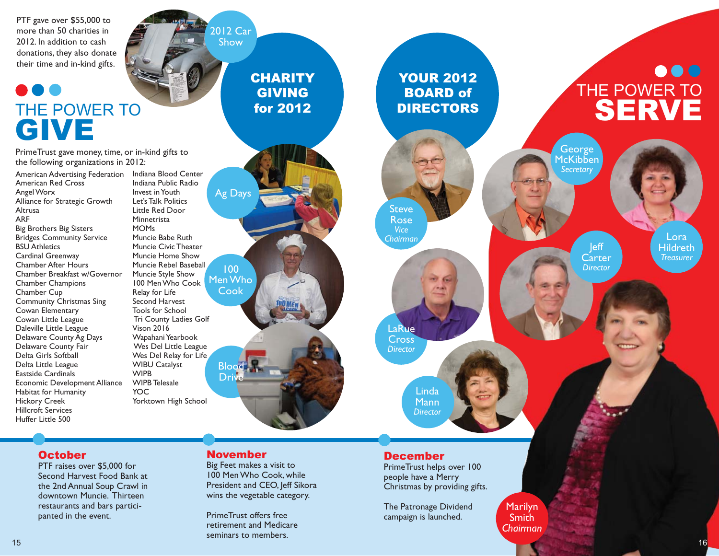PTF gave over \$55,000 to more than 50 charities in 2012. In addition to cash donations, they also donate their time and in-kind gifts.

### $\bullet$ e of the POWER To the contract of the STATE POWER TO the STATE STATE STATE STATE STATE STATE STATE STATE STATE STATE STATE STATE STATE STATE STATE STATE STATE STATE STATE STATE STATE STATE STATE STATE STATE STATE STATE STA GIVE

PrimeTrust gave money, time, or in-kind gifts to the following organizations in 2012:

American Advertising Federation Indiana Blood Center American Red Cross Angel Worx Alliance for Strategic Growth **Altrusa** ARF Big Brothers Big Sisters Bridges Community Service BSU Athletics Cardinal Greenway Chamber After Hours Chamber Breakfast w/Governor Chamber Champions Chamber Cup Community Christmas Sing Cowan Elementary Cowan Little League Daleville Little League Delaware County Ag Days Delaware County Fair Delta Girls Softball Delta Little League Eastside Cardinals Economic Development Alliance Habitat for Humanity Hickory Creek Hillcroft Services Huffer Little 500

Ag Days 100 Men Who Cook Indiana Public Radio Invest in Youth Let's Talk Politics Little Red Door Minnetrista MOMs Muncie Babe Ruth Muncie Civic Theater Muncie Home Show Muncie Rebel Baseball Muncie Style Show 100 Men Who Cook Relay for Life Second Harvest Tools for School Tri County Ladies Golf Vison 2016 Wapahani Yearbook Wes Del Little League Wes Del Relay for Life WIBU Catalyst WIPB WIPB Telesale YOC Yorktown High School **Blood** Driv

**CHARITY** GIVING

2012 Car Show

> YOUR 2012 BOARD of DIRECTORS

### $\bullet\bullet\bullet$ THE POWER TO SERVE

**George** McKibben *Secretary* 

*Chairman* Lora Jeff Carter

*Director* 

Hildreth *Treasurer* 

Cross<sup>1</sup> *Director* LaRue

Steve Rose *Vice* 

> Linda **Mann** *Director*

#### **October**

PTF raises over \$5,000 for Second Harvest Food Bank at the 2nd Annual Soup Crawl in downtown Muncie. Thirteen restaurants and bars participanted in the event.

#### November

Big Feet makes a visit to 100 Men Who Cook, while President and CEO, Jeff Sikora wins the vegetable category.

PrimeTrust offers free retirement and Medicare seminars to members. 15  $\,$  16  $\,$  16  $\,$  16  $\,$  16  $\,$  16  $\,$  16  $\,$  16  $\,$  16  $\,$  16  $\,$  16  $\,$  16  $\,$  16  $\,$  16  $\,$  16  $\,$  16  $\,$  16  $\,$  16  $\,$  16  $\,$  16  $\,$  16  $\,$  16  $\,$  16  $\,$  16  $\,$  16  $\,$  16  $\,$  17  $\,$  17  $\$ 

#### December

PrimeTrust helps over 100 people have a Merry Christmas by providing gifts.

The Patronage Dividend campaign is launched.

**Marilyn Smith** *Chairman*